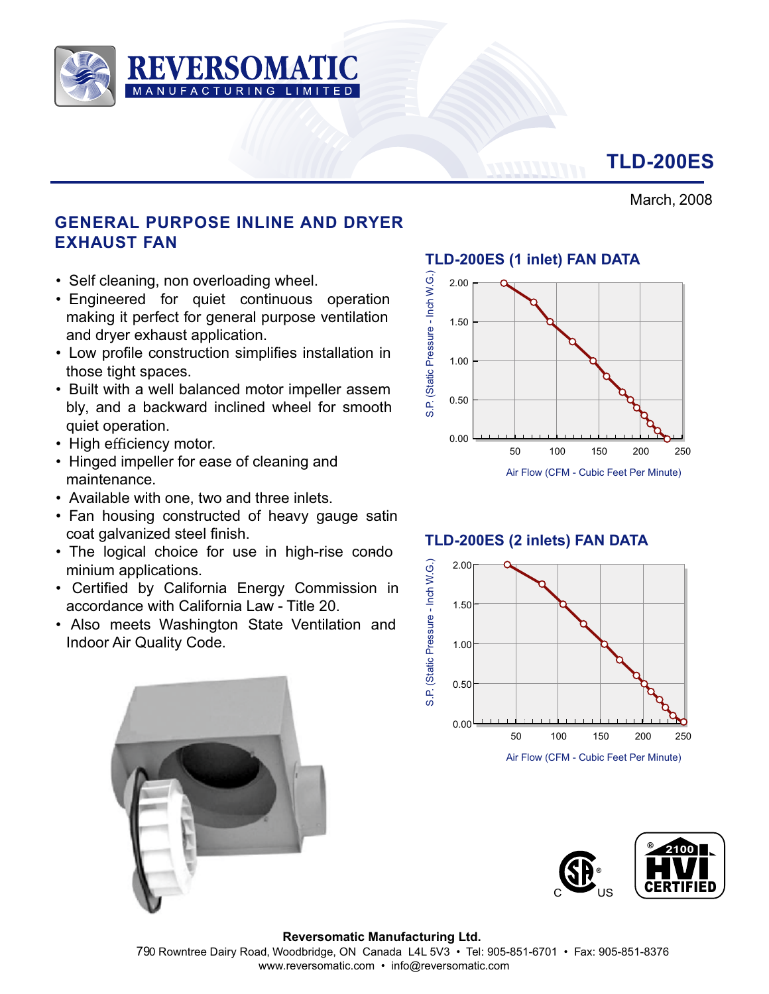

# **TLD-200ES**

March, 2008

## **GENERAL PURPOSE INLINE AND DRYER EXHAUST FAN**

- Self cleaning, non overloading wheel.
- Engineered for quiet continuous operation making it perfect for general purpose ventilation and dryer exhaust application.
- Low profile construction simplifies installation in those tight spaces.
- Built with a well balanced motor impeller assem bly, and a backward inclined wheel for smooth quiet operation.
- High efficiency motor.
- Hinged impeller for ease of cleaning and maintenance.
- Available with one, two and three inlets.
- Fan housing constructed of heavy gauge satin coat galvanized steel finish.
- The logical choice for use in high-rise condo minium applications.
- Certified by California Energy Commission in accordance with California Law - Title 20.
- Also meets Washington State Ventilation and Indoor Air Quality Code.





## **TLD-200ES (2 inlets) FAN DATA**





### **Reversomatic Manufacturing Ltd.**

790 Rowntree Dairy Road, Woodbridge, ON Canada L4L 5V3 • Tel: 905-851-6701 • Fax: 905-851-8376

# **TLD-200ES (1 inlet) FAN DATA**